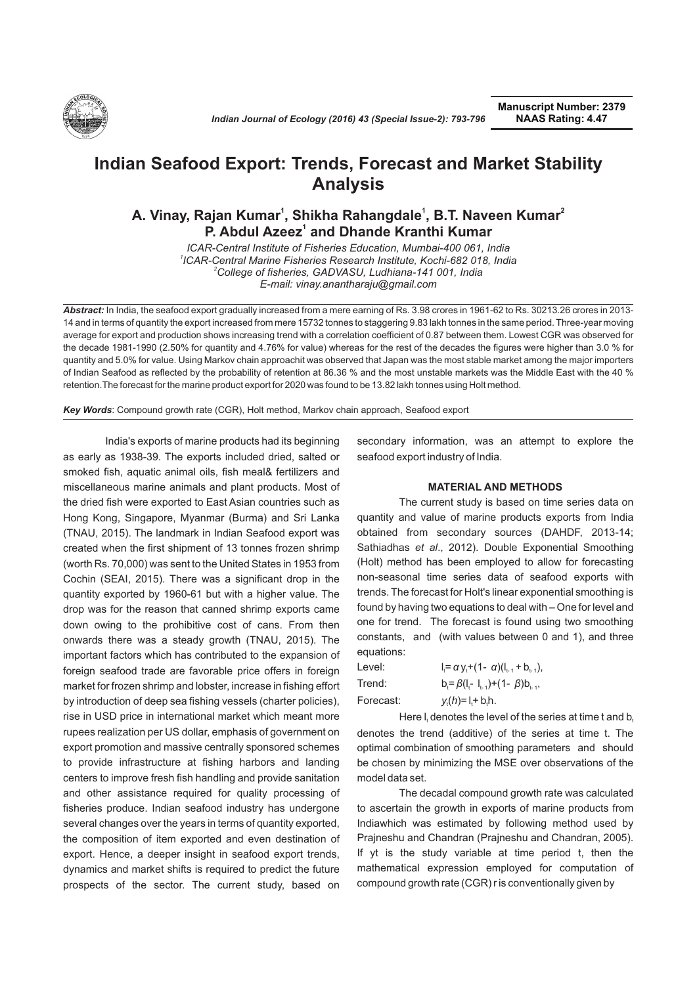

# **Indian Seafood Export: Trends, Forecast and Market Stability Analysis**

## **<sup>1</sup> <sup>2</sup> A. Vinay, Rajan Kumar , Shikha Rahangdale , B.T. Naveen Kumar 1 1 P. Abdul Azeez<sup>1</sup> and Dhande Kranthi Kumar**

*ICAR-Central Institute of Fisheries Education, Mumbai-400 061, India 1 ICAR-Central Marine Fisheries Research Institute, Kochi-682 018, India <sup>2</sup>College of fisheries, GADVASU, Ludhiana-141 001, India E-mail: vinay.anantharaju@gmail.com*

*Abstract:* In India, the seafood export gradually increased from a mere earning of Rs. 3.98 crores in 1961-62 to Rs. 30213.26 crores in 2013- 14 and in terms of quantity the export increased from mere 15732 tonnes to staggering 9.83 lakh tonnes in the same period. Three-year moving average for export and production shows increasing trend with a correlation coefficient of 0.87 between them. Lowest CGR was observed for the decade 1981-1990 (2.50% for quantity and 4.76% for value) whereas for the rest of the decades the figures were higher than 3.0 % for quantity and 5.0% for value. Using Markov chain approachit was observed that Japan was the most stable market among the major importers of Indian Seafood as reflected by the probability of retention at 86.36 % and the most unstable markets was the Middle East with the 40 % retention.The forecast for the marine product export for 2020 was found to be 13.82 lakh tonnes using Holt method.

*Key Words*: Compound growth rate (CGR), Holt method, Markov chain approach, Seafood export

India's exports of marine products had its beginning as early as 1938-39. The exports included dried, salted or smoked fish, aquatic animal oils, fish meal& fertilizers and miscellaneous marine animals and plant products. Most of the dried fish were exported to East Asian countries such as Hong Kong, Singapore, Myanmar (Burma) and Sri Lanka (TNAU, 2015). The landmark in Indian Seafood export was created when the first shipment of 13 tonnes frozen shrimp (worth Rs. 70,000) was sent to the United States in 1953 from Cochin (SEAI, 2015). There was a significant drop in the quantity exported by 1960-61 but with a higher value. The drop was for the reason that canned shrimp exports came down owing to the prohibitive cost of cans. From then onwards there was a steady growth (TNAU, 2015). The important factors which has contributed to the expansion of foreign seafood trade are favorable price offers in foreign market for frozen shrimp and lobster, increase in fishing effort by introduction of deep sea fishing vessels (charter policies), rise in USD price in international market which meant more rupees realization per US dollar, emphasis of government on export promotion and massive centrally sponsored schemes to provide infrastructure at fishing harbors and landing centers to improve fresh fish handling and provide sanitation and other assistance required for quality processing of fisheries produce. Indian seafood industry has undergone several changes over the years in terms of quantity exported, the composition of item exported and even destination of export. Hence, a deeper insight in seafood export trends, dynamics and market shifts is required to predict the future prospects of the sector. The current study, based on

secondary information, was an attempt to explore the seafood export industry of India.

#### **MATERIAL AND METHODS**

The current study is based on time series data on quantity and value of marine products exports from India obtained from secondary sources (DAHDF, 2013-14; Sathiadhas *et al*., 2012). Double Exponential Smoothing (Holt) method has been employed to allow for forecasting non-seasonal time series data of seafood exports with trends. The forecast for Holt's linear exponential smoothing is found by having two equations to deal with – One for level and one for trend. The forecast is found using two smoothing constants, and (with values between 0 and 1), and three equations:

Level:  $I_i = \alpha y_i + (1 - \alpha)(I_{i-1} + B_{i-1}),$ Trend:  $b_t = \beta (l_t - l_{t-1}) + (1 - \beta) b_{t-1}$ , Forecast:  $y_i(h)=1+b_i$ .

Here  $I_t$  denotes the level of the series at time t and b denotes the trend (additive) of the series at time t. The optimal combination of smoothing parameters and should be chosen by minimizing the MSE over observations of the model data set.

The decadal compound growth rate was calculated to ascertain the growth in exports of marine products from Indiawhich was estimated by following method used by Prajneshu and Chandran (Prajneshu and Chandran, 2005). If yt is the study variable at time period t, then the mathematical expression employed for computation of compound growth rate (CGR) r is conventionally given by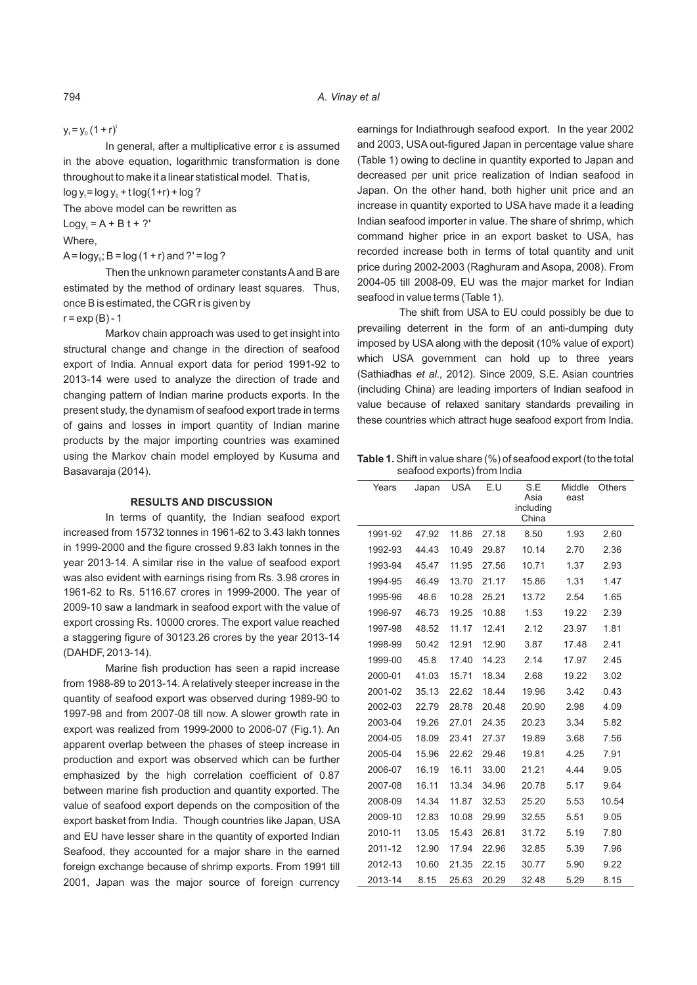$y_t = y_0 (1 + r)^t$ 

In general, after a multiplicative error  $\varepsilon$  is assumed in the above equation, logarithmic transformation is done throughout to make it a linear statistical model. That is,  $log y = log y_0 + t log(1+r) + log ?$ 

The above model can be rewritten as

 $Logy_t = A + Bt + ?'$ 

Where,

 $A = \text{logy}_0$ ;  $B = \text{log}(1 + r)$  and  $?$  ' = log ?

Then the unknown parameter constants Aand B are estimated by the method of ordinary least squares. Thus, once B is estimated, the CGR r is given by

 $r = exp(B) - 1$ 

Markov chain approach was used to get insight into structural change and change in the direction of seafood export of India. Annual export data for period 1991-92 to 2013-14 were used to analyze the direction of trade and changing pattern of Indian marine products exports. In the present study, the dynamism of seafood export trade in terms of gains and losses in import quantity of Indian marine products by the major importing countries was examined using the Markov chain model employed by Kusuma and Basavaraja (2014).

#### **RESULTS AND DISCUSSION**

In terms of quantity, the Indian seafood export increased from 15732 tonnes in 1961-62 to 3.43 lakh tonnes in 1999-2000 and the figure crossed 9.83 lakh tonnes in the year 2013-14. A similar rise in the value of seafood export was also evident with earnings rising from Rs. 3.98 crores in 1961-62 to Rs. 5116.67 crores in 1999-2000. The year of 2009-10 saw a landmark in seafood export with the value of export crossing Rs. 10000 crores. The export value reached a staggering figure of 30123.26 crores by the year 2013-14 (DAHDF, 2013-14).

Marine fish production has seen a rapid increase from 1988-89 to 2013-14. A relatively steeper increase in the quantity of seafood export was observed during 1989-90 to 1997-98 and from 2007-08 till now. A slower growth rate in export was realized from 1999-2000 to 2006-07 (Fig.1). An apparent overlap between the phases of steep increase in production and export was observed which can be further emphasized by the high correlation coefficient of 0.87 between marine fish production and quantity exported. The value of seafood export depends on the composition of the export basket from India. Though countries like Japan, USA and EU have lesser share in the quantity of exported Indian Seafood, they accounted for a major share in the earned foreign exchange because of shrimp exports. From 1991 till 2001, Japan was the major source of foreign currency

earnings for Indiathrough seafood export. In the year 2002 and 2003, USA out-figured Japan in percentage value share (Table 1) owing to decline in quantity exported to Japan and decreased per unit price realization of Indian seafood in Japan. On the other hand, both higher unit price and an increase in quantity exported to USA have made it a leading Indian seafood importer in value. The share of shrimp, which command higher price in an export basket to USA, has recorded increase both in terms of total quantity and unit price during 2002-2003 (Raghuram and Asopa, 2008). From 2004-05 till 2008-09, EU was the major market for Indian seafood in value terms (Table 1).

The shift from USA to EU could possibly be due to prevailing deterrent in the form of an anti-dumping duty imposed by USA along with the deposit (10% value of export) which USA government can hold up to three years (Sathiadhas *et al*., 2012). Since 2009, S.E. Asian countries (including China) are leading importers of Indian seafood in value because of relaxed sanitary standards prevailing in these countries which attract huge seafood export from India.

**Table 1.** Shift in value share (%) of seafood export (to the total seafood exports) from India

| Years   | Japan | <b>USA</b> | E.U   | S.E<br>Asia<br>including<br>China | Middle<br>east | Others |
|---------|-------|------------|-------|-----------------------------------|----------------|--------|
| 1991-92 | 47.92 | 11.86      | 27.18 | 8.50                              | 1.93           | 2.60   |
| 1992-93 | 44.43 | 10.49      | 29.87 | 10.14                             | 2.70           | 2.36   |
| 1993-94 | 45.47 | 11.95      | 27.56 | 10.71                             | 1.37           | 2.93   |
| 1994-95 | 46.49 | 13.70      | 21.17 | 15.86                             | 1.31           | 1.47   |
| 1995-96 | 46.6  | 10.28      | 25.21 | 13.72                             | 2.54           | 1.65   |
| 1996-97 | 46.73 | 19.25      | 10.88 | 1.53                              | 19.22          | 2.39   |
| 1997-98 | 48.52 | 11.17      | 12.41 | 2.12                              | 23.97          | 1.81   |
| 1998-99 | 50.42 | 12.91      | 12.90 | 3.87                              | 17.48          | 2.41   |
| 1999-00 | 45.8  | 17.40      | 14.23 | 2.14                              | 17.97          | 2.45   |
| 2000-01 | 41.03 | 15.71      | 18.34 | 2.68                              | 19.22          | 3.02   |
| 2001-02 | 35.13 | 22.62      | 18.44 | 19.96                             | 3.42           | 0.43   |
| 2002-03 | 22.79 | 28.78      | 20.48 | 20.90                             | 2.98           | 4.09   |
| 2003-04 | 19.26 | 27.01      | 24.35 | 20.23                             | 3.34           | 5.82   |
| 2004-05 | 18.09 | 23.41      | 27.37 | 19.89                             | 3.68           | 7.56   |
| 2005-04 | 15.96 | 22.62      | 29.46 | 19.81                             | 4.25           | 7.91   |
| 2006-07 | 16.19 | 16.11      | 33.00 | 21.21                             | 4.44           | 9.05   |
| 2007-08 | 16.11 | 13.34      | 34.96 | 20.78                             | 5.17           | 9.64   |
| 2008-09 | 14.34 | 11.87      | 32.53 | 25.20                             | 5.53           | 10.54  |
| 2009-10 | 12.83 | 10.08      | 29.99 | 32.55                             | 5.51           | 9.05   |
| 2010-11 | 13.05 | 15.43      | 26.81 | 31.72                             | 5.19           | 7.80   |
| 2011-12 | 12.90 | 17.94      | 22.96 | 32.85                             | 5.39           | 7.96   |
| 2012-13 | 10.60 | 21.35      | 22.15 | 30.77                             | 5.90           | 9.22   |
| 2013-14 | 8.15  | 25.63      | 20.29 | 32.48                             | 5.29           | 8.15   |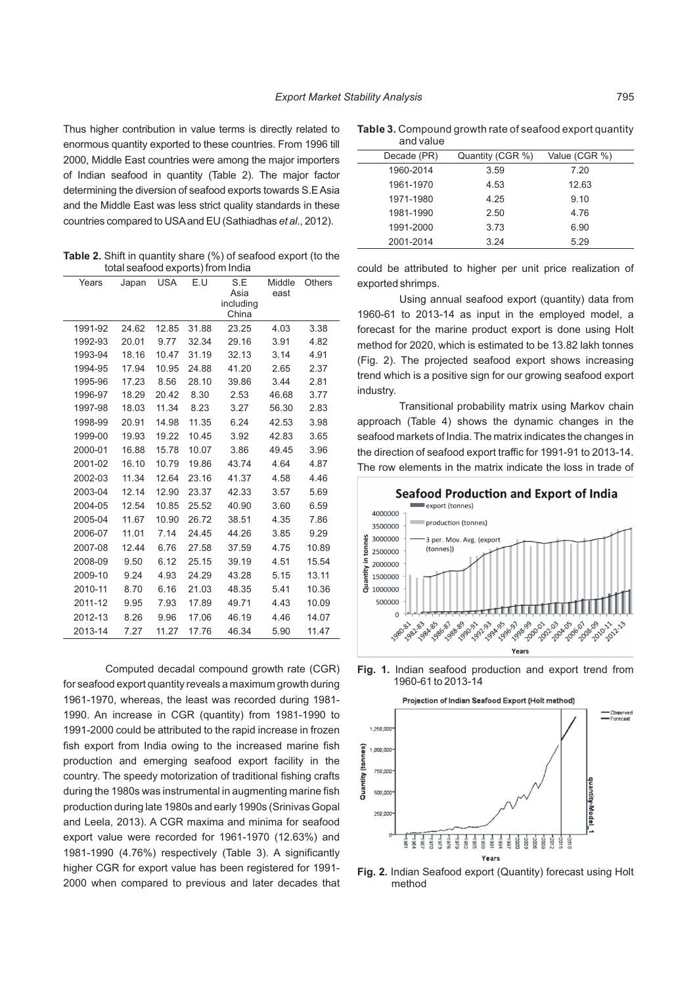Thus higher contribution in value terms is directly related to enormous quantity exported to these countries. From 1996 till 2000, Middle East countries were among the major importers of Indian seafood in quantity (Table 2). The major factor determining the diversion of seafood exports towards S.E Asia and the Middle East was less strict quality standards in these countries compared to USAand EU (Sathiadhas *et al*., 2012).

**Table 2.** Shift in quantity share (%) of seafood export (to the total seafood exports) from India

| Years   | Japan | <b>USA</b> | E.U   | S.E<br>Asia<br>including<br>China | Middle<br>east | Others |
|---------|-------|------------|-------|-----------------------------------|----------------|--------|
| 1991-92 | 24.62 | 12.85      | 31.88 | 23.25                             | 4.03           | 3.38   |
| 1992-93 | 20.01 | 9.77       | 32.34 | 29.16                             | 3.91           | 4.82   |
| 1993-94 | 18.16 | 10.47      | 31.19 | 32.13                             | 3.14           | 4.91   |
| 1994-95 | 17.94 | 10.95      | 24.88 | 41.20                             | 2.65           | 2.37   |
| 1995-96 | 17.23 | 8.56       | 28.10 | 39.86                             | 3.44           | 2.81   |
| 1996-97 | 18.29 | 20.42      | 8.30  | 2.53                              | 46.68          | 3.77   |
| 1997-98 | 18.03 | 11.34      | 8.23  | 3.27                              | 56.30          | 2.83   |
| 1998-99 | 20.91 | 14.98      | 11.35 | 6.24                              | 42.53          | 3.98   |
| 1999-00 | 19.93 | 19.22      | 10.45 | 3.92                              | 42.83          | 3.65   |
| 2000-01 | 16.88 | 15.78      | 10.07 | 3.86                              | 49.45          | 3.96   |
| 2001-02 | 16.10 | 10.79      | 19.86 | 43.74                             | 4.64           | 4.87   |
| 2002-03 | 11.34 | 12.64      | 23.16 | 41.37                             | 4.58           | 4.46   |
| 2003-04 | 12.14 | 12.90      | 23.37 | 42.33                             | 3.57           | 5.69   |
| 2004-05 | 12.54 | 10.85      | 25.52 | 40.90                             | 3.60           | 6.59   |
| 2005-04 | 11.67 | 10.90      | 26.72 | 38.51                             | 4.35           | 7.86   |
| 2006-07 | 11.01 | 7.14       | 24.45 | 44.26                             | 3.85           | 9.29   |
| 2007-08 | 12.44 | 6.76       | 27.58 | 37.59                             | 4.75           | 10.89  |
| 2008-09 | 9.50  | 6.12       | 25.15 | 39.19                             | 4.51           | 15.54  |
| 2009-10 | 9.24  | 4.93       | 24.29 | 43.28                             | 5.15           | 13.11  |
| 2010-11 | 8.70  | 6.16       | 21.03 | 48.35                             | 5.41           | 10.36  |
| 2011-12 | 9.95  | 7.93       | 17.89 | 49.71                             | 4.43           | 10.09  |
| 2012-13 | 8.26  | 9.96       | 17.06 | 46.19                             | 4.46           | 14.07  |
| 2013-14 | 7.27  | 11.27      | 17.76 | 46.34                             | 5.90           | 11.47  |

Computed decadal compound growth rate (CGR) for seafood export quantity reveals a maximum growth during 1961-1970, whereas, the least was recorded during 1981- 1990. An increase in CGR (quantity) from 1981-1990 to 1991-2000 could be attributed to the rapid increase in frozen fish export from India owing to the increased marine fish production and emerging seafood export facility in the country. The speedy motorization of traditional fishing crafts during the 1980s was instrumental in augmenting marine fish production during late 1980s and early 1990s (Srinivas Gopal and Leela, 2013). A CGR maxima and minima for seafood export value were recorded for 1961-1970 (12.63%) and 1981-1990 (4.76%) respectively (Table 3). A significantly higher CGR for export value has been registered for 1991- 2000 when compared to previous and later decades that

**Table 3.** Compound growth rate of seafood export quantity and value

| anu valut   |                  |               |  |
|-------------|------------------|---------------|--|
| Decade (PR) | Quantity (CGR %) | Value (CGR %) |  |
| 1960-2014   | 3.59             | 7.20          |  |
| 1961-1970   | 4.53             | 12.63         |  |
| 1971-1980   | 4.25             | 9.10          |  |
| 1981-1990   | 2.50             | 4.76          |  |
| 1991-2000   | 3.73             | 6.90          |  |
| 2001-2014   | 3.24             | 5.29          |  |

could be attributed to higher per unit price realization of exported shrimps.

Using annual seafood export (quantity) data from 1960-61 to 2013-14 as input in the employed model, a forecast for the marine product export is done using Holt method for 2020, which is estimated to be 13.82 lakh tonnes (Fig. 2). The projected seafood export shows increasing trend which is a positive sign for our growing seafood export industry.

Transitional probability matrix using Markov chain approach (Table 4) shows the dynamic changes in the seafood markets of India. The matrix indicates the changes in the direction of seafood export traffic for 1991-91 to 2013-14. The row elements in the matrix indicate the loss in trade of







**Fig. 2.** Indian Seafood export (Quantity) forecast using Holt method